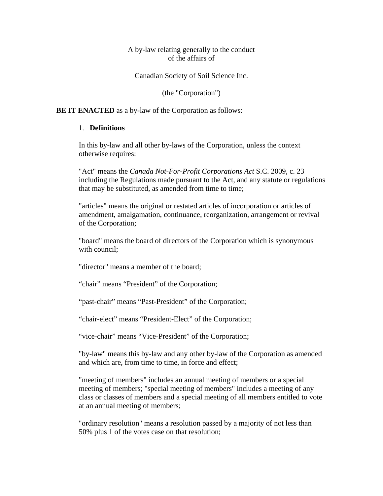### A by-law relating generally to the conduct of the affairs of

Canadian Society of Soil Science Inc.

(the "Corporation")

#### **BE IT ENACTED** as a by-law of the Corporation as follows:

#### 1. **Definitions**

In this by-law and all other by-laws of the Corporation, unless the context otherwise requires:

"Act" means the *Canada Not-For-Profit Corporations Act* S.C. 2009, c. 23 including the Regulations made pursuant to the Act, and any statute or regulations that may be substituted, as amended from time to time;

"articles" means the original or restated articles of incorporation or articles of amendment, amalgamation, continuance, reorganization, arrangement or revival of the Corporation;

"board" means the board of directors of the Corporation which is synonymous with council;

"director" means a member of the board;

"chair" means "President" of the Corporation;

"past-chair" means "Past-President" of the Corporation;

"chair-elect" means "President-Elect" of the Corporation;

"vice-chair" means "Vice-President" of the Corporation;

"by-law" means this by-law and any other by-law of the Corporation as amended and which are, from time to time, in force and effect;

"meeting of members" includes an annual meeting of members or a special meeting of members; "special meeting of members" includes a meeting of any class or classes of members and a special meeting of all members entitled to vote at an annual meeting of members;

"ordinary resolution" means a resolution passed by a majority of not less than 50% plus 1 of the votes case on that resolution;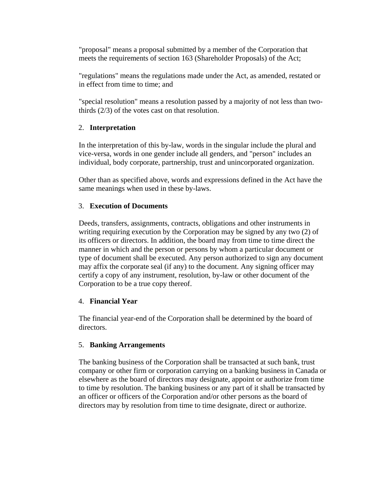"proposal" means a proposal submitted by a member of the Corporation that meets the requirements of section 163 (Shareholder Proposals) of the Act;

"regulations" means the regulations made under the Act, as amended, restated or in effect from time to time; and

"special resolution" means a resolution passed by a majority of not less than twothirds (2/3) of the votes cast on that resolution.

## 2. **Interpretation**

In the interpretation of this by-law, words in the singular include the plural and vice-versa, words in one gender include all genders, and "person" includes an individual, body corporate, partnership, trust and unincorporated organization.

Other than as specified above, words and expressions defined in the Act have the same meanings when used in these by-laws.

#### 3. **Execution of Documents**

Deeds, transfers, assignments, contracts, obligations and other instruments in writing requiring execution by the Corporation may be signed by any two (2) of its officers or directors. In addition, the board may from time to time direct the manner in which and the person or persons by whom a particular document or type of document shall be executed. Any person authorized to sign any document may affix the corporate seal (if any) to the document. Any signing officer may certify a copy of any instrument, resolution, by-law or other document of the Corporation to be a true copy thereof.

#### 4. **Financial Year**

The financial year-end of the Corporation shall be determined by the board of directors.

## 5. **Banking Arrangements**

The banking business of the Corporation shall be transacted at such bank, trust company or other firm or corporation carrying on a banking business in Canada or elsewhere as the board of directors may designate, appoint or authorize from time to time by resolution. The banking business or any part of it shall be transacted by an officer or officers of the Corporation and/or other persons as the board of directors may by resolution from time to time designate, direct or authorize.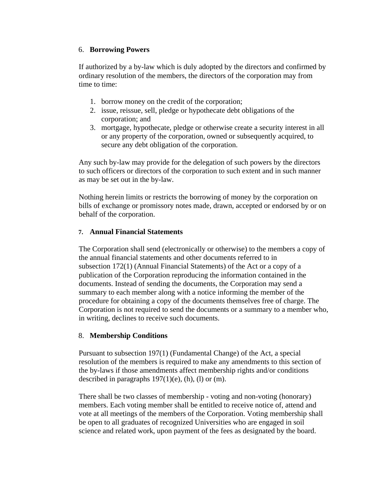### 6. **Borrowing Powers**

If authorized by a by-law which is duly adopted by the directors and confirmed by ordinary resolution of the members, the directors of the corporation may from time to time:

- 1. borrow money on the credit of the corporation;
- 2. issue, reissue, sell, pledge or hypothecate debt obligations of the corporation; and
- 3. mortgage, hypothecate, pledge or otherwise create a security interest in all or any property of the corporation, owned or subsequently acquired, to secure any debt obligation of the corporation.

Any such by-law may provide for the delegation of such powers by the directors to such officers or directors of the corporation to such extent and in such manner as may be set out in the by-law.

Nothing herein limits or restricts the borrowing of money by the corporation on bills of exchange or promissory notes made, drawn, accepted or endorsed by or on behalf of the corporation.

### **7. Annual Financial Statements**

The Corporation shall send (electronically or otherwise) to the members a copy of the annual financial statements and other documents referred to in subsection 172(1) (Annual Financial Statements) of the Act or a copy of a publication of the Corporation reproducing the information contained in the documents. Instead of sending the documents, the Corporation may send a summary to each member along with a notice informing the member of the procedure for obtaining a copy of the documents themselves free of charge. The Corporation is not required to send the documents or a summary to a member who, in writing, declines to receive such documents.

#### 8. **Membership Conditions**

Pursuant to subsection 197(1) (Fundamental Change) of the Act, a special resolution of the members is required to make any amendments to this section of the by-laws if those amendments affect membership rights and/or conditions described in paragraphs  $197(1)(e)$ , (h), (l) or (m).

There shall be two classes of membership - voting and non-voting (honorary) members. Each voting member shall be entitled to receive notice of, attend and vote at all meetings of the members of the Corporation. Voting membership shall be open to all graduates of recognized Universities who are engaged in soil science and related work, upon payment of the fees as designated by the board.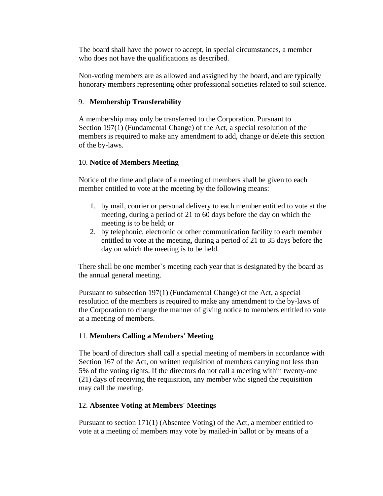The board shall have the power to accept, in special circumstances, a member who does not have the qualifications as described.

Non-voting members are as allowed and assigned by the board, and are typically honorary members representing other professional societies related to soil science.

### 9. **Membership Transferability**

A membership may only be transferred to the Corporation. Pursuant to Section 197(1) (Fundamental Change) of the Act, a special resolution of the members is required to make any amendment to add, change or delete this section of the by-laws.

### 10. **Notice of Members Meeting**

Notice of the time and place of a meeting of members shall be given to each member entitled to vote at the meeting by the following means:

- 1. by mail, courier or personal delivery to each member entitled to vote at the meeting, during a period of 21 to 60 days before the day on which the meeting is to be held; or
- 2. by telephonic, electronic or other communication facility to each member entitled to vote at the meeting, during a period of 21 to 35 days before the day on which the meeting is to be held.

There shall be one member`s meeting each year that is designated by the board as the annual general meeting.

Pursuant to subsection 197(1) (Fundamental Change) of the Act, a special resolution of the members is required to make any amendment to the by-laws of the Corporation to change the manner of giving notice to members entitled to vote at a meeting of members.

## 11. **Members Calling a Members' Meeting**

The board of directors shall call a special meeting of members in accordance with Section 167 of the Act, on written requisition of members carrying not less than 5% of the voting rights. If the directors do not call a meeting within twenty-one (21) days of receiving the requisition, any member who signed the requisition may call the meeting.

## 12. **Absentee Voting at Members' Meetings**

Pursuant to section 171(1) (Absentee Voting) of the Act, a member entitled to vote at a meeting of members may vote by mailed-in ballot or by means of a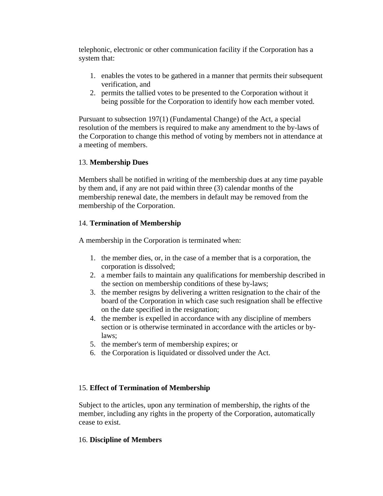telephonic, electronic or other communication facility if the Corporation has a system that:

- 1. enables the votes to be gathered in a manner that permits their subsequent verification, and
- 2. permits the tallied votes to be presented to the Corporation without it being possible for the Corporation to identify how each member voted.

Pursuant to subsection 197(1) (Fundamental Change) of the Act, a special resolution of the members is required to make any amendment to the by-laws of the Corporation to change this method of voting by members not in attendance at a meeting of members.

## 13. **Membership Dues**

Members shall be notified in writing of the membership dues at any time payable by them and, if any are not paid within three (3) calendar months of the membership renewal date, the members in default may be removed from the membership of the Corporation.

## 14. **Termination of Membership**

A membership in the Corporation is terminated when:

- 1. the member dies, or, in the case of a member that is a corporation, the corporation is dissolved;
- 2. a member fails to maintain any qualifications for membership described in the section on membership conditions of these by-laws;
- 3. the member resigns by delivering a written resignation to the chair of the board of the Corporation in which case such resignation shall be effective on the date specified in the resignation;
- 4. the member is expelled in accordance with any discipline of members section or is otherwise terminated in accordance with the articles or bylaws;
- 5. the member's term of membership expires; or
- 6. the Corporation is liquidated or dissolved under the Act.

# 15. **Effect of Termination of Membership**

Subject to the articles, upon any termination of membership, the rights of the member, including any rights in the property of the Corporation, automatically cease to exist.

## 16. **Discipline of Members**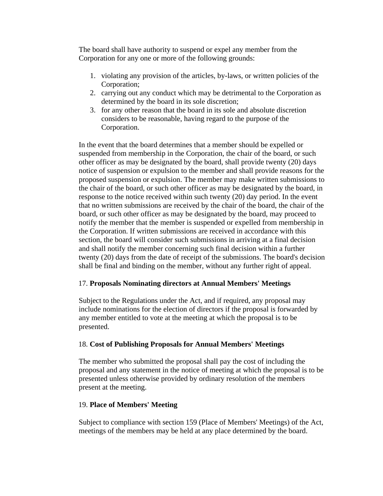The board shall have authority to suspend or expel any member from the Corporation for any one or more of the following grounds:

- 1. violating any provision of the articles, by-laws, or written policies of the Corporation;
- 2. carrying out any conduct which may be detrimental to the Corporation as determined by the board in its sole discretion;
- 3. for any other reason that the board in its sole and absolute discretion considers to be reasonable, having regard to the purpose of the Corporation.

In the event that the board determines that a member should be expelled or suspended from membership in the Corporation, the chair of the board, or such other officer as may be designated by the board, shall provide twenty (20) days notice of suspension or expulsion to the member and shall provide reasons for the proposed suspension or expulsion. The member may make written submissions to the chair of the board, or such other officer as may be designated by the board, in response to the notice received within such twenty (20) day period. In the event that no written submissions are received by the chair of the board, the chair of the board, or such other officer as may be designated by the board, may proceed to notify the member that the member is suspended or expelled from membership in the Corporation. If written submissions are received in accordance with this section, the board will consider such submissions in arriving at a final decision and shall notify the member concerning such final decision within a further twenty (20) days from the date of receipt of the submissions. The board's decision shall be final and binding on the member, without any further right of appeal.

## 17. **Proposals Nominating directors at Annual Members' Meetings**

Subject to the Regulations under the Act, and if required, any proposal may include nominations for the election of directors if the proposal is forwarded by any member entitled to vote at the meeting at which the proposal is to be presented.

## 18. **Cost of Publishing Proposals for Annual Members' Meetings**

The member who submitted the proposal shall pay the cost of including the proposal and any statement in the notice of meeting at which the proposal is to be presented unless otherwise provided by ordinary resolution of the members present at the meeting.

## 19. **Place of Members' Meeting**

Subject to compliance with section 159 (Place of Members' Meetings) of the Act, meetings of the members may be held at any place determined by the board.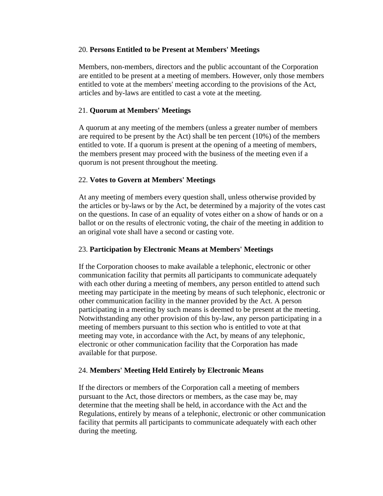#### 20. **Persons Entitled to be Present at Members' Meetings**

Members, non-members, directors and the public accountant of the Corporation are entitled to be present at a meeting of members. However, only those members entitled to vote at the members' meeting according to the provisions of the Act, articles and by-laws are entitled to cast a vote at the meeting.

### 21. **Quorum at Members' Meetings**

A quorum at any meeting of the members (unless a greater number of members are required to be present by the Act) shall be ten percent (10%) of the members entitled to vote. If a quorum is present at the opening of a meeting of members, the members present may proceed with the business of the meeting even if a quorum is not present throughout the meeting.

### 22. **Votes to Govern at Members' Meetings**

At any meeting of members every question shall, unless otherwise provided by the articles or by-laws or by the Act, be determined by a majority of the votes cast on the questions. In case of an equality of votes either on a show of hands or on a ballot or on the results of electronic voting, the chair of the meeting in addition to an original vote shall have a second or casting vote.

#### 23. **Participation by Electronic Means at Members' Meetings**

If the Corporation chooses to make available a telephonic, electronic or other communication facility that permits all participants to communicate adequately with each other during a meeting of members, any person entitled to attend such meeting may participate in the meeting by means of such telephonic, electronic or other communication facility in the manner provided by the Act. A person participating in a meeting by such means is deemed to be present at the meeting. Notwithstanding any other provision of this by-law, any person participating in a meeting of members pursuant to this section who is entitled to vote at that meeting may vote, in accordance with the Act, by means of any telephonic, electronic or other communication facility that the Corporation has made available for that purpose.

#### 24. **Members' Meeting Held Entirely by Electronic Means**

If the directors or members of the Corporation call a meeting of members pursuant to the Act, those directors or members, as the case may be, may determine that the meeting shall be held, in accordance with the Act and the Regulations, entirely by means of a telephonic, electronic or other communication facility that permits all participants to communicate adequately with each other during the meeting.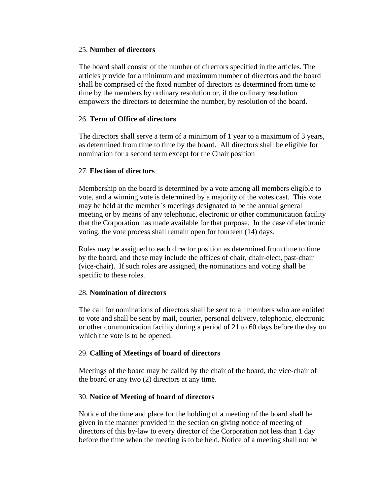#### 25. **Number of directors**

The board shall consist of the number of directors specified in the articles. The articles provide for a minimum and maximum number of directors and the board shall be comprised of the fixed number of directors as determined from time to time by the members by ordinary resolution or, if the ordinary resolution empowers the directors to determine the number, by resolution of the board.

### 26. **Term of Office of directors**

The directors shall serve a term of a minimum of 1 year to a maximum of 3 years, as determined from time to time by the board. All directors shall be eligible for nomination for a second term except for the Chair position

#### 27. **Election of directors**

Membership on the board is determined by a vote among all members eligible to vote, and a winning vote is determined by a majority of the votes cast. This vote may be held at the member`s meetings designated to be the annual general meeting or by means of any telephonic, electronic or other communication facility that the Corporation has made available for that purpose. In the case of electronic voting, the vote process shall remain open for fourteen (14) days.

Roles may be assigned to each director position as determined from time to time by the board, and these may include the offices of chair, chair-elect, past-chair (vice-chair). If such roles are assigned, the nominations and voting shall be specific to these roles.

#### 28. **Nomination of directors**

The call for nominations of directors shall be sent to all members who are entitled to vote and shall be sent by mail, courier, personal delivery, telephonic, electronic or other communication facility during a period of 21 to 60 days before the day on which the vote is to be opened.

#### 29. **Calling of Meetings of board of directors**

Meetings of the board may be called by the chair of the board, the vice-chair of the board or any two (2) directors at any time.

#### 30. **Notice of Meeting of board of directors**

Notice of the time and place for the holding of a meeting of the board shall be given in the manner provided in the section on giving notice of meeting of directors of this by-law to every director of the Corporation not less than 1 day before the time when the meeting is to be held. Notice of a meeting shall not be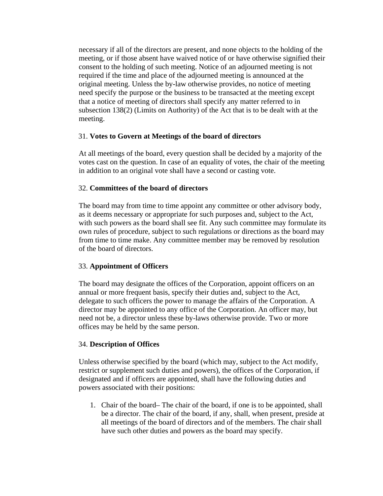necessary if all of the directors are present, and none objects to the holding of the meeting, or if those absent have waived notice of or have otherwise signified their consent to the holding of such meeting. Notice of an adjourned meeting is not required if the time and place of the adjourned meeting is announced at the original meeting. Unless the by-law otherwise provides, no notice of meeting need specify the purpose or the business to be transacted at the meeting except that a notice of meeting of directors shall specify any matter referred to in subsection 138(2) (Limits on Authority) of the Act that is to be dealt with at the meeting.

### 31. **Votes to Govern at Meetings of the board of directors**

At all meetings of the board, every question shall be decided by a majority of the votes cast on the question. In case of an equality of votes, the chair of the meeting in addition to an original vote shall have a second or casting vote.

### 32. **Committees of the board of directors**

The board may from time to time appoint any committee or other advisory body, as it deems necessary or appropriate for such purposes and, subject to the Act, with such powers as the board shall see fit. Any such committee may formulate its own rules of procedure, subject to such regulations or directions as the board may from time to time make. Any committee member may be removed by resolution of the board of directors.

## 33. **Appointment of Officers**

The board may designate the offices of the Corporation, appoint officers on an annual or more frequent basis, specify their duties and, subject to the Act, delegate to such officers the power to manage the affairs of the Corporation. A director may be appointed to any office of the Corporation. An officer may, but need not be, a director unless these by-laws otherwise provide. Two or more offices may be held by the same person.

## 34. **Description of Offices**

Unless otherwise specified by the board (which may, subject to the Act modify, restrict or supplement such duties and powers), the offices of the Corporation, if designated and if officers are appointed, shall have the following duties and powers associated with their positions:

1. Chair of the board– The chair of the board, if one is to be appointed, shall be a director. The chair of the board, if any, shall, when present, preside at all meetings of the board of directors and of the members. The chair shall have such other duties and powers as the board may specify.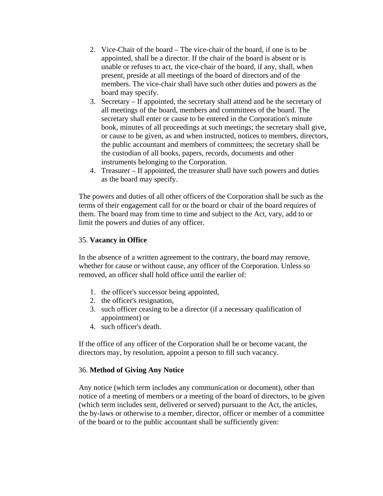- 2. Vice-Chair of the board The vice-chair of the board, if one is to be appointed, shall be a director. If the chair of the board is absent or is unable or refuses to act, the vice-chair of the board, if any, shall, when present, preside at all meetings of the board of directors and of the members. The vice-chair shall have such other duties and powers as the board may specify.
- 3. Secretary If appointed, the secretary shall attend and be the secretary of all meetings of the board, members and committees of the board. The secretary shall enter or cause to be entered in the Corporation's minute book, minutes of all proceedings at such meetings; the secretary shall give, or cause to be given, as and when instructed, notices to members, directors, the public accountant and members of committees; the secretary shall be the custodian of all books, papers, records, documents and other instruments belonging to the Corporation.
- 4. Treasurer If appointed, the treasurer shall have such powers and duties as the board may specify.

The powers and duties of all other officers of the Corporation shall be such as the terms of their engagement call for or the board or chair of the board requires of them. The board may from time to time and subject to the Act, vary, add to or limit the powers and duties of any officer.

#### 35. **Vacancy in Office**

In the absence of a written agreement to the contrary, the board may remove, whether for cause or without cause, any officer of the Corporation. Unless so removed, an officer shall hold office until the earlier of:

- 1. the officer's successor being appointed,
- 2. the officer's resignation,
- 3. such officer ceasing to be a director (if a necessary qualification of appointment) or
- 4. such officer's death.

If the office of any officer of the Corporation shall be or become vacant, the directors may, by resolution, appoint a person to fill such vacancy.

## 36. **Method of Giving Any Notice**

Any notice (which term includes any communication or document), other than notice of a meeting of members or a meeting of the board of directors, to be given (which term includes sent, delivered or served) pursuant to the Act, the articles, the by-laws or otherwise to a member, director, officer or member of a committee of the board or to the public accountant shall be sufficiently given: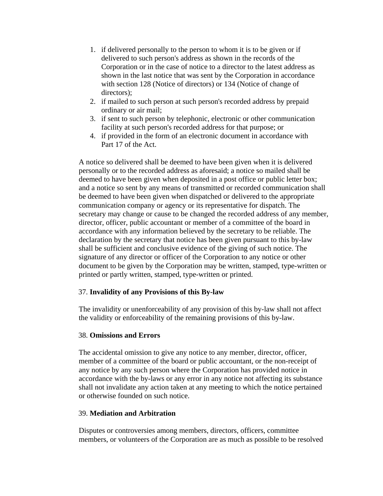- 1. if delivered personally to the person to whom it is to be given or if delivered to such person's address as shown in the records of the Corporation or in the case of notice to a director to the latest address as shown in the last notice that was sent by the Corporation in accordance with section 128 (Notice of directors) or 134 (Notice of change of directors);
- 2. if mailed to such person at such person's recorded address by prepaid ordinary or air mail;
- 3. if sent to such person by telephonic, electronic or other communication facility at such person's recorded address for that purpose; or
- 4. if provided in the form of an electronic document in accordance with Part 17 of the Act.

A notice so delivered shall be deemed to have been given when it is delivered personally or to the recorded address as aforesaid; a notice so mailed shall be deemed to have been given when deposited in a post office or public letter box; and a notice so sent by any means of transmitted or recorded communication shall be deemed to have been given when dispatched or delivered to the appropriate communication company or agency or its representative for dispatch. The secretary may change or cause to be changed the recorded address of any member, director, officer, public accountant or member of a committee of the board in accordance with any information believed by the secretary to be reliable. The declaration by the secretary that notice has been given pursuant to this by-law shall be sufficient and conclusive evidence of the giving of such notice. The signature of any director or officer of the Corporation to any notice or other document to be given by the Corporation may be written, stamped, type-written or printed or partly written, stamped, type-written or printed.

## 37. **Invalidity of any Provisions of this By-law**

The invalidity or unenforceability of any provision of this by-law shall not affect the validity or enforceability of the remaining provisions of this by-law.

## 38. **Omissions and Errors**

The accidental omission to give any notice to any member, director, officer, member of a committee of the board or public accountant, or the non-receipt of any notice by any such person where the Corporation has provided notice in accordance with the by-laws or any error in any notice not affecting its substance shall not invalidate any action taken at any meeting to which the notice pertained or otherwise founded on such notice.

## 39. **Mediation and Arbitration**

Disputes or controversies among members, directors, officers, committee members, or volunteers of the Corporation are as much as possible to be resolved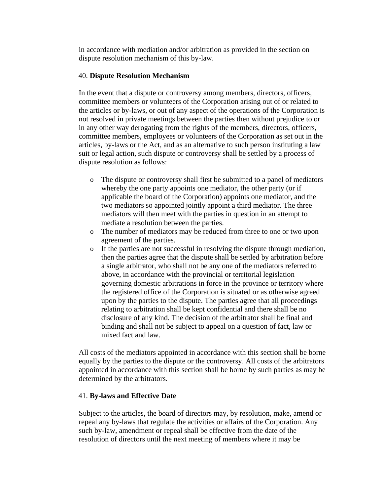in accordance with mediation and/or arbitration as provided in the section on dispute resolution mechanism of this by-law.

### 40. **Dispute Resolution Mechanism**

In the event that a dispute or controversy among members, directors, officers, committee members or volunteers of the Corporation arising out of or related to the articles or by-laws, or out of any aspect of the operations of the Corporation is not resolved in private meetings between the parties then without prejudice to or in any other way derogating from the rights of the members, directors, officers, committee members, employees or volunteers of the Corporation as set out in the articles, by-laws or the Act, and as an alternative to such person instituting a law suit or legal action, such dispute or controversy shall be settled by a process of dispute resolution as follows:

- o The dispute or controversy shall first be submitted to a panel of mediators whereby the one party appoints one mediator, the other party (or if applicable the board of the Corporation) appoints one mediator, and the two mediators so appointed jointly appoint a third mediator. The three mediators will then meet with the parties in question in an attempt to mediate a resolution between the parties.
- o The number of mediators may be reduced from three to one or two upon agreement of the parties.
- o If the parties are not successful in resolving the dispute through mediation, then the parties agree that the dispute shall be settled by arbitration before a single arbitrator, who shall not be any one of the mediators referred to above, in accordance with the provincial or territorial legislation governing domestic arbitrations in force in the province or territory where the registered office of the Corporation is situated or as otherwise agreed upon by the parties to the dispute. The parties agree that all proceedings relating to arbitration shall be kept confidential and there shall be no disclosure of any kind. The decision of the arbitrator shall be final and binding and shall not be subject to appeal on a question of fact, law or mixed fact and law.

All costs of the mediators appointed in accordance with this section shall be borne equally by the parties to the dispute or the controversy. All costs of the arbitrators appointed in accordance with this section shall be borne by such parties as may be determined by the arbitrators.

## 41. **By-laws and Effective Date**

Subject to the articles, the board of directors may, by resolution, make, amend or repeal any by-laws that regulate the activities or affairs of the Corporation. Any such by-law, amendment or repeal shall be effective from the date of the resolution of directors until the next meeting of members where it may be